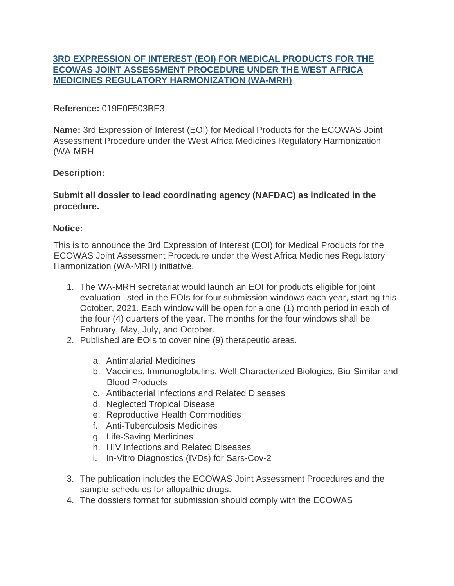# **[3RD EXPRESSION OF INTEREST \(EOI\) FOR MEDICAL PRODUCTS FOR THE](https://data.wahooas.org/tenders/tenders/45/list) [ECOWAS JOINT ASSESSMENT PROCEDURE UNDER THE WEST AFRICA](https://data.wahooas.org/tenders/tenders/45/list) [MEDICINES REGULATORY HARMONIZATION \(WA-MRH\)](https://data.wahooas.org/tenders/tenders/45/list)**

### **Reference:** 019E0F503BE3

**Name:** 3rd Expression of Interest (EOI) for Medical Products for the ECOWAS Joint Assessment Procedure under the West Africa Medicines Regulatory Harmonization (WA-MRH

### **Description:**

### **Submit all dossier to lead coordinating agency (NAFDAC) as indicated in the procedure.**

### **Notice:**

This is to announce the 3rd Expression of Interest (EOI) for Medical Products for the ECOWAS Joint Assessment Procedure under the West Africa Medicines Regulatory Harmonization (WA-MRH) initiative.

- 1. The WA-MRH secretariat would launch an EOI for products eligible for joint evaluation listed in the EOIs for four submission windows each year, starting this October, 2021. Each window will be open for a one (1) month period in each of the four (4) quarters of the year. The months for the four windows shall be February, May, July, and October.
- 2. Published are EOIs to cover nine (9) therapeutic areas.
	- a. Antimalarial Medicines
	- b. Vaccines, Immunoglobulins, Well Characterized Biologics, Bio-Similar and Blood Products
	- c. Antibacterial Infections and Related Diseases
	- d. Neglected Tropical Disease
	- e. Reproductive Health Commodities
	- f. Anti-Tuberculosis Medicines
	- g. Life-Saving Medicines
	- h. HIV Infections and Related Diseases
	- i. In-Vitro Diagnostics (IVDs) for Sars-Cov-2
- 3. The publication includes the ECOWAS Joint Assessment Procedures and the sample schedules for allopathic drugs.
- 4. The dossiers format for submission should comply with the ECOWAS